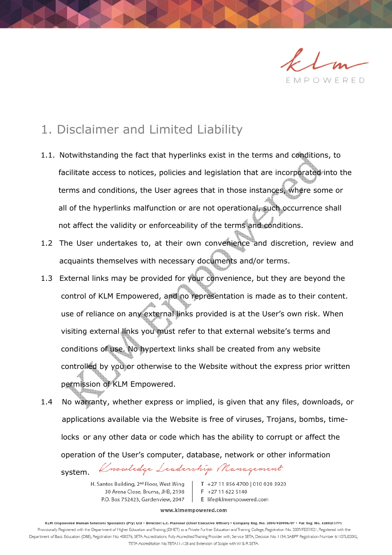

## 1. Disclaimer and Limited Liability

- 1.1. Notwithstanding the fact that hyperlinks exist in the terms and conditions, to facilitate access to notices, policies and legislation that are incorporated into the terms and conditions, the User agrees that in those instances, where some or all of the hyperlinks malfunction or are not operational, such occurrence shall not affect the validity or enforceability of the terms and conditions.
- 1.2 The User undertakes to, at their own convenience and discretion, review and acquaints themselves with necessary documents and/or terms.
- 1.3 External links may be provided for your convenience, but they are beyond the control of KLM Empowered, and no representation is made as to their content. use of reliance on any external links provided is at the User's own risk. When visiting external links you must refer to that external website's terms and conditions of use. No hypertext links shall be created from any website controlled by you or otherwise to the Website without the express prior written permission of KLM Empowered.
- 1.4 No warranty, whether express or implied, is given that any files, downloads, or applications available via the Website is free of viruses, Trojans, bombs, time locks or any other data or code which has the ability to corrupt or affect the operation of the User's computer, database, network or other information Knowledge Leadership Management

H. Santos Building, 2<sup>nd</sup> Floor, West Wing 30 Arena Close, Bruma, JHB, 2198 P.O. Box 752423, Gardenview, 2047

system.

T +27 11 856 4700 | 010 020 3920  $F$  +27 11 622 5140 E life@klmempowered.com

## www.klmempowered.com

KLM Empowered Human Solutions Specialists (Pty) Ltd . Director: L.E. Mansour (Chief Executive Officer) . Company Reg. No. 2004/029096/07 . Vat Reg. No. 4280215775 Provisionally Registered with the Department of Higher Education and Training (DHET) as a Private Further Education and Training College, Registration No. 2009/FE07/021; Registered with the Department of Basic Education (DBE), Registration No. 400376; SETA Accreditations: Fully Accredited Training Provider with; Service SETA, Decision No: 1154; SABPP Registration Number 61107L020KL, TETA Accreditation No.TETA11-128 and Extension of Scope with W & R SETA.